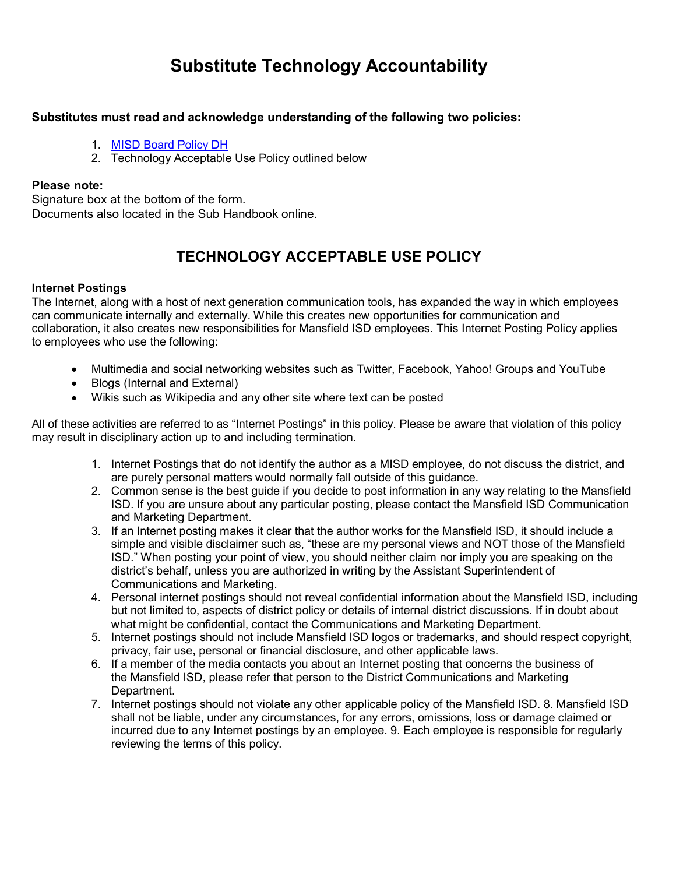# **Substitute Technology Accountability**

### **Substitutes must read and acknowledge understanding of the following two policies:**

- 1. [MISD Board Policy DH](https://resources.finalsite.net/images/v1548407363/mansfieldisd/wnhrdmhkvixa0petphgl/Section24-PersonalUseElectronicMedia.pdf)
- 2. Technology Acceptable Use Policy outlined below

### **Please note:**

Signature box at the bottom of the form. Documents also located in the Sub Handbook online.

# **TECHNOLOGY ACCEPTABLE USE POLICY**

### **Internet Postings**

The Internet, along with a host of next generation communication tools, has expanded the way in which employees can communicate internally and externally. While this creates new opportunities for communication and collaboration, it also creates new responsibilities for Mansfield ISD employees. This Internet Posting Policy applies to employees who use the following:

- Multimedia and social networking websites such as Twitter, Facebook, Yahoo! Groups and YouTube
- Blogs (Internal and External)
- Wikis such as Wikipedia and any other site where text can be posted

All of these activities are referred to as "Internet Postings" in this policy. Please be aware that violation of this policy may result in disciplinary action up to and including termination.

- 1. Internet Postings that do not identify the author as a MISD employee, do not discuss the district, and are purely personal matters would normally fall outside of this guidance.
- 2. Common sense is the best guide if you decide to post information in any way relating to the Mansfield ISD. If you are unsure about any particular posting, please contact the Mansfield ISD Communication and Marketing Department.
- 3. If an Internet posting makes it clear that the author works for the Mansfield ISD, it should include a simple and visible disclaimer such as, "these are my personal views and NOT those of the Mansfield ISD." When posting your point of view, you should neither claim nor imply you are speaking on the district's behalf, unless you are authorized in writing by the Assistant Superintendent of Communications and Marketing.
- 4. Personal internet postings should not reveal confidential information about the Mansfield ISD, including but not limited to, aspects of district policy or details of internal district discussions. If in doubt about what might be confidential, contact the Communications and Marketing Department.
- 5. Internet postings should not include Mansfield ISD logos or trademarks, and should respect copyright, privacy, fair use, personal or financial disclosure, and other applicable laws.
- 6. If a member of the media contacts you about an Internet posting that concerns the business of the Mansfield ISD, please refer that person to the District Communications and Marketing Department.
- 7. Internet postings should not violate any other applicable policy of the Mansfield ISD. 8. Mansfield ISD shall not be liable, under any circumstances, for any errors, omissions, loss or damage claimed or incurred due to any Internet postings by an employee. 9. Each employee is responsible for regularly reviewing the terms of this policy.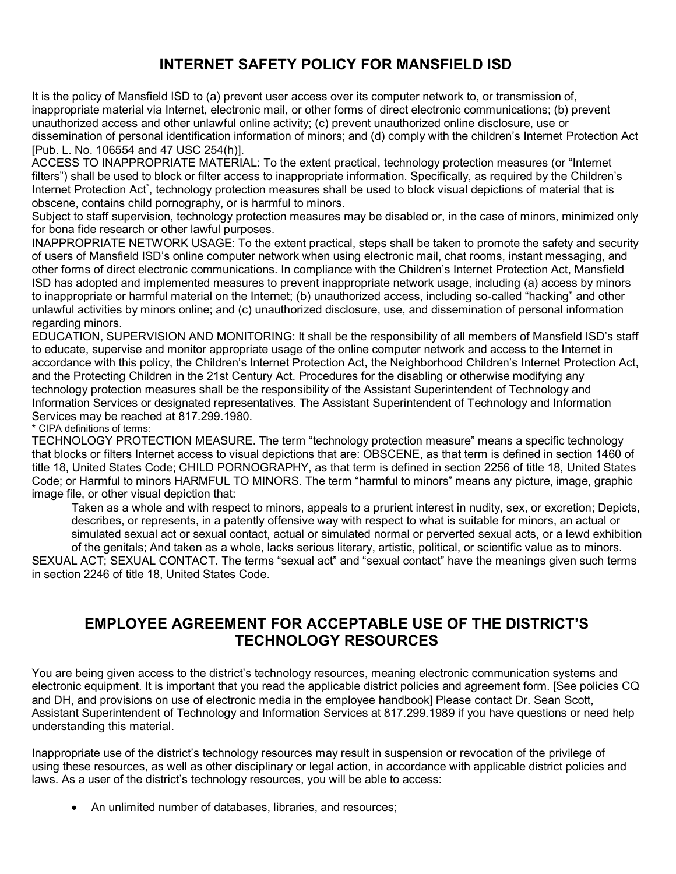## **INTERNET SAFETY POLICY FOR MANSFIELD ISD**

It is the policy of Mansfield ISD to (a) prevent user access over its computer network to, or transmission of, inappropriate material via Internet, electronic mail, or other forms of direct electronic communications; (b) prevent unauthorized access and other unlawful online activity; (c) prevent unauthorized online disclosure, use or dissemination of personal identification information of minors; and (d) comply with the children's Internet Protection Act [Pub. L. No. 106554 and 47 USC 254(h)].

ACCESS TO INAPPROPRIATE MATERIAL: To the extent practical, technology protection measures (or "Internet filters") shall be used to block or filter access to inappropriate information. Specifically, as required by the Children's Internet Protection Act<sup>\*</sup>, technology protection measures shall be used to block visual depictions of material that is obscene, contains child pornography, or is harmful to minors.

Subject to staff supervision, technology protection measures may be disabled or, in the case of minors, minimized only for bona fide research or other lawful purposes.

INAPPROPRIATE NETWORK USAGE: To the extent practical, steps shall be taken to promote the safety and security of users of Mansfield ISD's online computer network when using electronic mail, chat rooms, instant messaging, and other forms of direct electronic communications. In compliance with the Children's Internet Protection Act, Mansfield ISD has adopted and implemented measures to prevent inappropriate network usage, including (a) access by minors to inappropriate or harmful material on the Internet; (b) unauthorized access, including so-called "hacking" and other unlawful activities by minors online; and (c) unauthorized disclosure, use, and dissemination of personal information regarding minors.

EDUCATION, SUPERVISION AND MONITORING: It shall be the responsibility of all members of Mansfield ISD's staff to educate, supervise and monitor appropriate usage of the online computer network and access to the Internet in accordance with this policy, the Children's Internet Protection Act, the Neighborhood Children's Internet Protection Act, and the Protecting Children in the 21st Century Act. Procedures for the disabling or otherwise modifying any technology protection measures shall be the responsibility of the Assistant Superintendent of Technology and Information Services or designated representatives. The Assistant Superintendent of Technology and Information Services may be reached at 817.299.1980.

\* CIPA definitions of terms:

TECHNOLOGY PROTECTION MEASURE. The term "technology protection measure" means a specific technology that blocks or filters Internet access to visual depictions that are: OBSCENE, as that term is defined in section 1460 of title 18, United States Code; CHILD PORNOGRAPHY, as that term is defined in section 2256 of title 18, United States Code; or Harmful to minors HARMFUL TO MINORS. The term "harmful to minors" means any picture, image, graphic image file, or other visual depiction that:

Taken as a whole and with respect to minors, appeals to a prurient interest in nudity, sex, or excretion; Depicts, describes, or represents, in a patently offensive way with respect to what is suitable for minors, an actual or simulated sexual act or sexual contact, actual or simulated normal or perverted sexual acts, or a lewd exhibition of the genitals; And taken as a whole, lacks serious literary, artistic, political, or scientific value as to minors.

SEXUAL ACT; SEXUAL CONTACT. The terms "sexual act" and "sexual contact" have the meanings given such terms in section 2246 of title 18, United States Code.

### **EMPLOYEE AGREEMENT FOR ACCEPTABLE USE OF THE DISTRICT'S TECHNOLOGY RESOURCES**

You are being given access to the district's technology resources, meaning electronic communication systems and electronic equipment. It is important that you read the applicable district policies and agreement form. [See policies CQ and DH, and provisions on use of electronic media in the employee handbook] Please contact Dr. Sean Scott, Assistant Superintendent of Technology and Information Services at 817.299.1989 if you have questions or need help understanding this material.

Inappropriate use of the district's technology resources may result in suspension or revocation of the privilege of using these resources, as well as other disciplinary or legal action, in accordance with applicable district policies and laws. As a user of the district's technology resources, you will be able to access:

• An unlimited number of databases, libraries, and resources;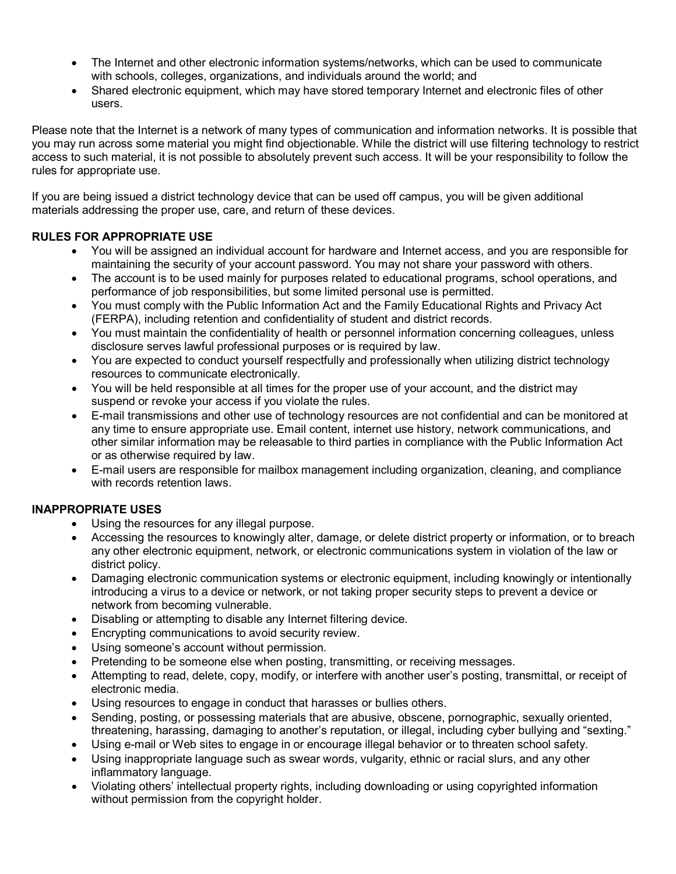- The Internet and other electronic information systems/networks, which can be used to communicate with schools, colleges, organizations, and individuals around the world; and
- Shared electronic equipment, which may have stored temporary Internet and electronic files of other users.

Please note that the Internet is a network of many types of communication and information networks. It is possible that you may run across some material you might find objectionable. While the district will use filtering technology to restrict access to such material, it is not possible to absolutely prevent such access. It will be your responsibility to follow the rules for appropriate use.

If you are being issued a district technology device that can be used off campus, you will be given additional materials addressing the proper use, care, and return of these devices.

### **RULES FOR APPROPRIATE USE**

- You will be assigned an individual account for hardware and Internet access, and you are responsible for maintaining the security of your account password. You may not share your password with others.
- The account is to be used mainly for purposes related to educational programs, school operations, and performance of job responsibilities, but some limited personal use is permitted.
- You must comply with the Public Information Act and the Family Educational Rights and Privacy Act (FERPA), including retention and confidentiality of student and district records.
- You must maintain the confidentiality of health or personnel information concerning colleagues, unless disclosure serves lawful professional purposes or is required by law.
- You are expected to conduct yourself respectfully and professionally when utilizing district technology resources to communicate electronically.
- You will be held responsible at all times for the proper use of your account, and the district may suspend or revoke your access if you violate the rules.
- E-mail transmissions and other use of technology resources are not confidential and can be monitored at any time to ensure appropriate use. Email content, internet use history, network communications, and other similar information may be releasable to third parties in compliance with the Public Information Act or as otherwise required by law.
- E-mail users are responsible for mailbox management including organization, cleaning, and compliance with records retention laws.

### **INAPPROPRIATE USES**

- Using the resources for any illegal purpose.
- Accessing the resources to knowingly alter, damage, or delete district property or information, or to breach any other electronic equipment, network, or electronic communications system in violation of the law or district policy.
- Damaging electronic communication systems or electronic equipment, including knowingly or intentionally introducing a virus to a device or network, or not taking proper security steps to prevent a device or network from becoming vulnerable.
- Disabling or attempting to disable any Internet filtering device.
- Encrypting communications to avoid security review.
- Using someone's account without permission.
- Pretending to be someone else when posting, transmitting, or receiving messages.
- Attempting to read, delete, copy, modify, or interfere with another user's posting, transmittal, or receipt of electronic media.
- Using resources to engage in conduct that harasses or bullies others.
- Sending, posting, or possessing materials that are abusive, obscene, pornographic, sexually oriented, threatening, harassing, damaging to another's reputation, or illegal, including cyber bullying and "sexting."
- Using e-mail or Web sites to engage in or encourage illegal behavior or to threaten school safety.
- Using inappropriate language such as swear words, vulgarity, ethnic or racial slurs, and any other inflammatory language.
- Violating others' intellectual property rights, including downloading or using copyrighted information without permission from the copyright holder.